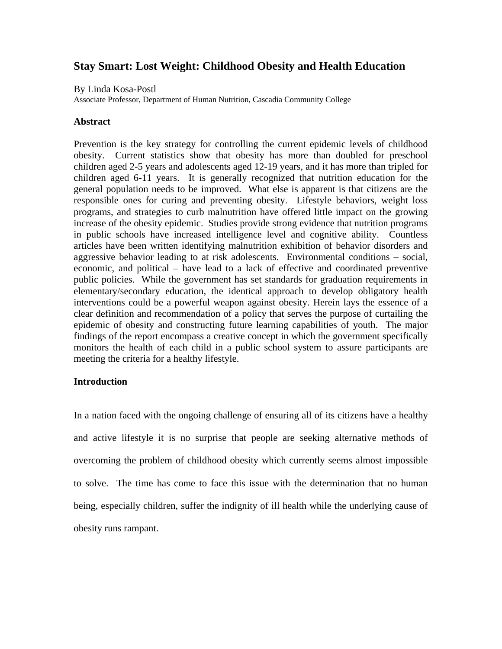# **Stay Smart: Lost Weight: Childhood Obesity and Health Education**

By Linda Kosa-Postl

Associate Professor, Department of Human Nutrition, Cascadia Community College

### **Abstract**

Prevention is the key strategy for controlling the current epidemic levels of childhood obesity. Current statistics show that obesity has more than doubled for preschool children aged 2-5 years and adolescents aged 12-19 years, and it has more than tripled for children aged 6-11 years. It is generally recognized that nutrition education for the general population needs to be improved. What else is apparent is that citizens are the responsible ones for curing and preventing obesity. Lifestyle behaviors, weight loss programs, and strategies to curb malnutrition have offered little impact on the growing increase of the obesity epidemic. Studies provide strong evidence that nutrition programs in public schools have increased intelligence level and cognitive ability. Countless articles have been written identifying malnutrition exhibition of behavior disorders and aggressive behavior leading to at risk adolescents. Environmental conditions – social, economic, and political – have lead to a lack of effective and coordinated preventive public policies. While the government has set standards for graduation requirements in elementary/secondary education, the identical approach to develop obligatory health interventions could be a powerful weapon against obesity. Herein lays the essence of a clear definition and recommendation of a policy that serves the purpose of curtailing the epidemic of obesity and constructing future learning capabilities of youth. The major findings of the report encompass a creative concept in which the government specifically monitors the health of each child in a public school system to assure participants are meeting the criteria for a healthy lifestyle.

## **Introduction**

In a nation faced with the ongoing challenge of ensuring all of its citizens have a healthy and active lifestyle it is no surprise that people are seeking alternative methods of overcoming the problem of childhood obesity which currently seems almost impossible to solve. The time has come to face this issue with the determination that no human being, especially children, suffer the indignity of ill health while the underlying cause of obesity runs rampant.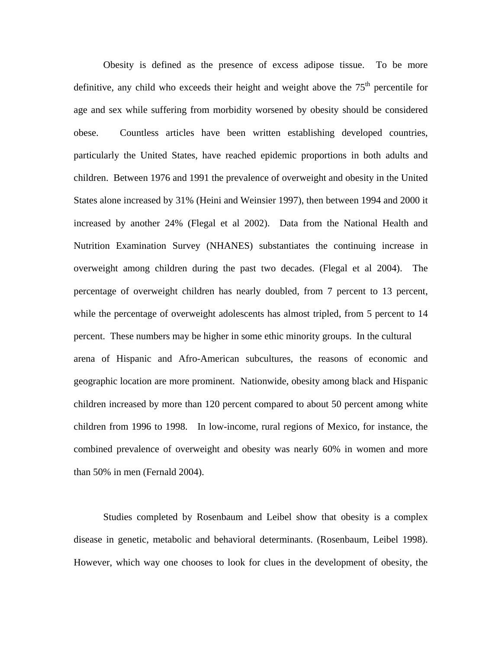Obesity is defined as the presence of excess adipose tissue. To be more definitive, any child who exceeds their height and weight above the  $75<sup>th</sup>$  percentile for age and sex while suffering from morbidity worsened by obesity should be considered obese. Countless articles have been written establishing developed countries, particularly the United States, have reached epidemic proportions in both adults and children. Between 1976 and 1991 the prevalence of overweight and obesity in the United States alone increased by 31% (Heini and Weinsier 1997), then between 1994 and 2000 it increased by another 24% (Flegal et al 2002). Data from the National Health and Nutrition Examination Survey (NHANES) substantiates the continuing increase in overweight among children during the past two decades. (Flegal et al 2004). The percentage of overweight children has nearly doubled, from 7 percent to 13 percent, while the percentage of overweight adolescents has almost tripled, from 5 percent to 14 percent. These numbers may be higher in some ethic minority groups. In the cultural arena of Hispanic and Afro-American subcultures, the reasons of economic and geographic location are more prominent. Nationwide, obesity among black and Hispanic children increased by more than 120 percent compared to about 50 percent among white children from 1996 to 1998. In low-income, rural regions of Mexico, for instance, the combined prevalence of overweight and obesity was nearly 60% in women and more than 50% in men (Fernald 2004).

 Studies completed by Rosenbaum and Leibel show that obesity is a complex disease in genetic, metabolic and behavioral determinants. (Rosenbaum, Leibel 1998). However, which way one chooses to look for clues in the development of obesity, the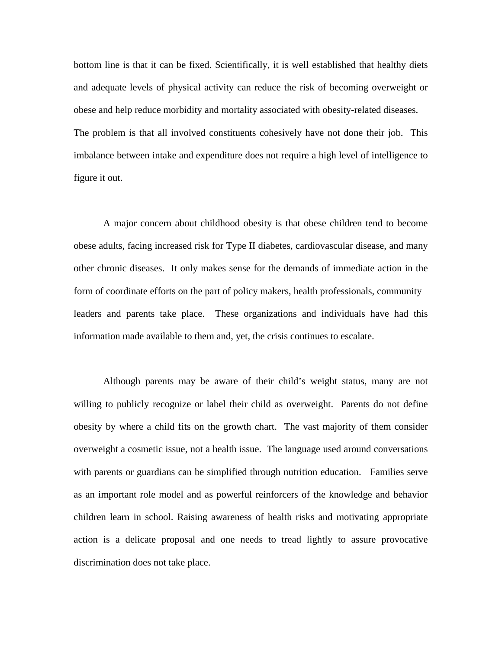bottom line is that it can be fixed. Scientifically, it is well established that healthy diets and adequate levels of physical activity can reduce the risk of becoming overweight or obese and help reduce morbidity and mortality associated with obesity-related diseases. The problem is that all involved constituents cohesively have not done their job. This imbalance between intake and expenditure does not require a high level of intelligence to figure it out.

 A major concern about childhood obesity is that obese children tend to become obese adults, facing increased risk for Type II diabetes, cardiovascular disease, and many other chronic diseases. It only makes sense for the demands of immediate action in the form of coordinate efforts on the part of policy makers, health professionals, community leaders and parents take place. These organizations and individuals have had this information made available to them and, yet, the crisis continues to escalate.

 Although parents may be aware of their child's weight status, many are not willing to publicly recognize or label their child as overweight. Parents do not define obesity by where a child fits on the growth chart. The vast majority of them consider overweight a cosmetic issue, not a health issue. The language used around conversations with parents or guardians can be simplified through nutrition education. Families serve as an important role model and as powerful reinforcers of the knowledge and behavior children learn in school. Raising awareness of health risks and motivating appropriate action is a delicate proposal and one needs to tread lightly to assure provocative discrimination does not take place.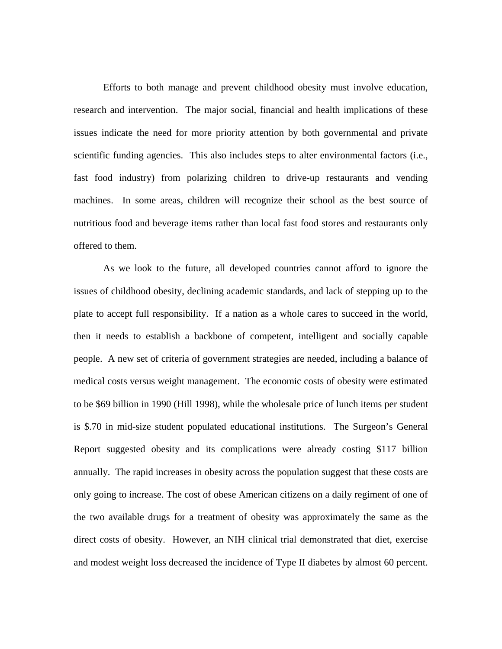Efforts to both manage and prevent childhood obesity must involve education, research and intervention. The major social, financial and health implications of these issues indicate the need for more priority attention by both governmental and private scientific funding agencies. This also includes steps to alter environmental factors (i.e., fast food industry) from polarizing children to drive-up restaurants and vending machines. In some areas, children will recognize their school as the best source of nutritious food and beverage items rather than local fast food stores and restaurants only offered to them.

 As we look to the future, all developed countries cannot afford to ignore the issues of childhood obesity, declining academic standards, and lack of stepping up to the plate to accept full responsibility. If a nation as a whole cares to succeed in the world, then it needs to establish a backbone of competent, intelligent and socially capable people. A new set of criteria of government strategies are needed, including a balance of medical costs versus weight management. The economic costs of obesity were estimated to be \$69 billion in 1990 (Hill 1998), while the wholesale price of lunch items per student is \$.70 in mid-size student populated educational institutions. The Surgeon's General Report suggested obesity and its complications were already costing \$117 billion annually. The rapid increases in obesity across the population suggest that these costs are only going to increase. The cost of obese American citizens on a daily regiment of one of the two available drugs for a treatment of obesity was approximately the same as the direct costs of obesity. However, an NIH clinical trial demonstrated that diet, exercise and modest weight loss decreased the incidence of Type II diabetes by almost 60 percent.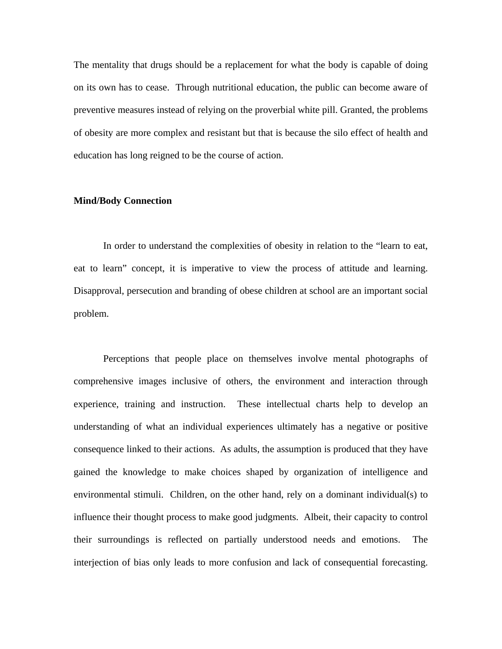The mentality that drugs should be a replacement for what the body is capable of doing on its own has to cease. Through nutritional education, the public can become aware of preventive measures instead of relying on the proverbial white pill. Granted, the problems of obesity are more complex and resistant but that is because the silo effect of health and education has long reigned to be the course of action.

### **Mind/Body Connection**

 In order to understand the complexities of obesity in relation to the "learn to eat, eat to learn" concept, it is imperative to view the process of attitude and learning. Disapproval, persecution and branding of obese children at school are an important social problem.

 Perceptions that people place on themselves involve mental photographs of comprehensive images inclusive of others, the environment and interaction through experience, training and instruction. These intellectual charts help to develop an understanding of what an individual experiences ultimately has a negative or positive consequence linked to their actions. As adults, the assumption is produced that they have gained the knowledge to make choices shaped by organization of intelligence and environmental stimuli. Children, on the other hand, rely on a dominant individual(s) to influence their thought process to make good judgments. Albeit, their capacity to control their surroundings is reflected on partially understood needs and emotions. The interjection of bias only leads to more confusion and lack of consequential forecasting.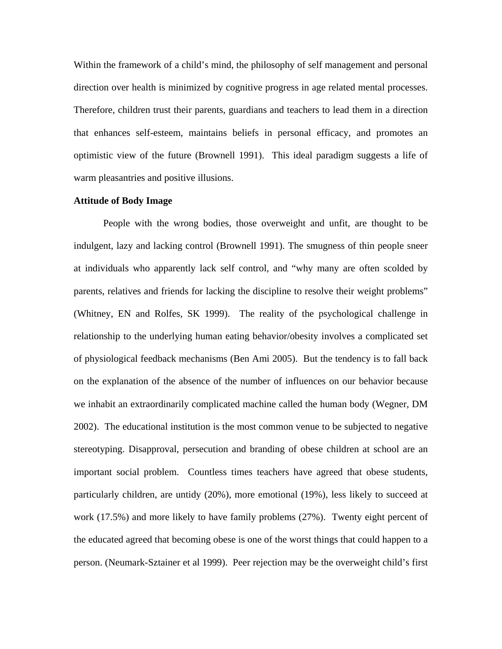Within the framework of a child's mind, the philosophy of self management and personal direction over health is minimized by cognitive progress in age related mental processes. Therefore, children trust their parents, guardians and teachers to lead them in a direction that enhances self-esteem, maintains beliefs in personal efficacy, and promotes an optimistic view of the future (Brownell 1991). This ideal paradigm suggests a life of warm pleasantries and positive illusions.

### **Attitude of Body Image**

 People with the wrong bodies, those overweight and unfit, are thought to be indulgent, lazy and lacking control (Brownell 1991). The smugness of thin people sneer at individuals who apparently lack self control, and "why many are often scolded by parents, relatives and friends for lacking the discipline to resolve their weight problems" (Whitney, EN and Rolfes, SK 1999). The reality of the psychological challenge in relationship to the underlying human eating behavior/obesity involves a complicated set of physiological feedback mechanisms (Ben Ami 2005). But the tendency is to fall back on the explanation of the absence of the number of influences on our behavior because we inhabit an extraordinarily complicated machine called the human body (Wegner, DM 2002). The educational institution is the most common venue to be subjected to negative stereotyping. Disapproval, persecution and branding of obese children at school are an important social problem. Countless times teachers have agreed that obese students, particularly children, are untidy (20%), more emotional (19%), less likely to succeed at work (17.5%) and more likely to have family problems (27%). Twenty eight percent of the educated agreed that becoming obese is one of the worst things that could happen to a person. (Neumark-Sztainer et al 1999). Peer rejection may be the overweight child's first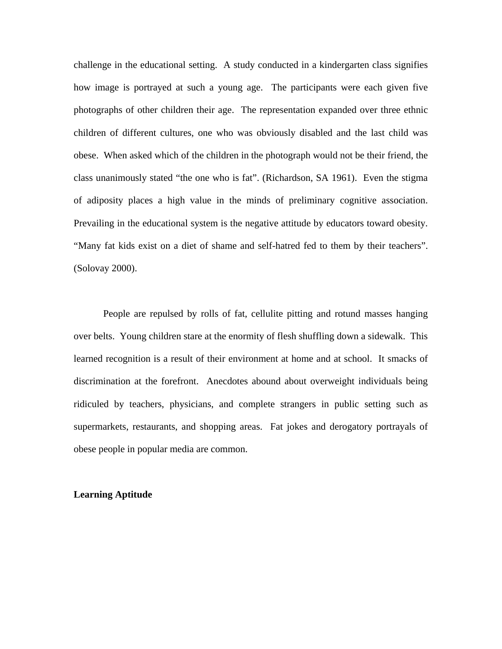challenge in the educational setting. A study conducted in a kindergarten class signifies how image is portrayed at such a young age. The participants were each given five photographs of other children their age. The representation expanded over three ethnic children of different cultures, one who was obviously disabled and the last child was obese. When asked which of the children in the photograph would not be their friend, the class unanimously stated "the one who is fat". (Richardson, SA 1961). Even the stigma of adiposity places a high value in the minds of preliminary cognitive association. Prevailing in the educational system is the negative attitude by educators toward obesity. "Many fat kids exist on a diet of shame and self-hatred fed to them by their teachers". (Solovay 2000).

 People are repulsed by rolls of fat, cellulite pitting and rotund masses hanging over belts. Young children stare at the enormity of flesh shuffling down a sidewalk. This learned recognition is a result of their environment at home and at school. It smacks of discrimination at the forefront. Anecdotes abound about overweight individuals being ridiculed by teachers, physicians, and complete strangers in public setting such as supermarkets, restaurants, and shopping areas. Fat jokes and derogatory portrayals of obese people in popular media are common.

### **Learning Aptitude**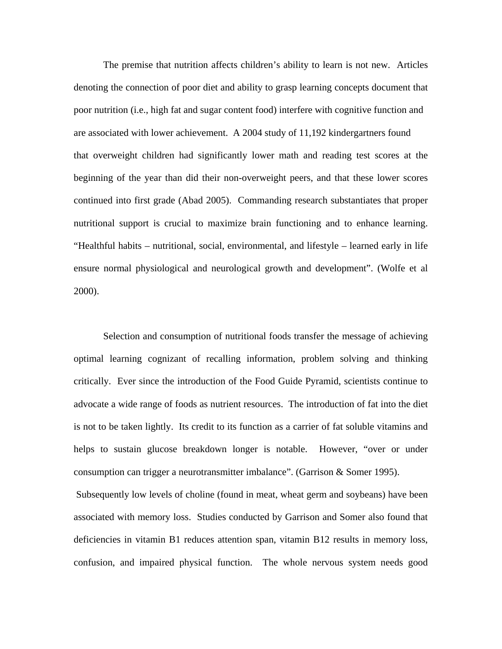The premise that nutrition affects children's ability to learn is not new. Articles denoting the connection of poor diet and ability to grasp learning concepts document that poor nutrition (i.e., high fat and sugar content food) interfere with cognitive function and are associated with lower achievement. A 2004 study of 11,192 kindergartners found that overweight children had significantly lower math and reading test scores at the beginning of the year than did their non-overweight peers, and that these lower scores continued into first grade (Abad 2005). Commanding research substantiates that proper nutritional support is crucial to maximize brain functioning and to enhance learning. "Healthful habits – nutritional, social, environmental, and lifestyle – learned early in life ensure normal physiological and neurological growth and development". (Wolfe et al 2000).

 Selection and consumption of nutritional foods transfer the message of achieving optimal learning cognizant of recalling information, problem solving and thinking critically. Ever since the introduction of the Food Guide Pyramid, scientists continue to advocate a wide range of foods as nutrient resources. The introduction of fat into the diet is not to be taken lightly. Its credit to its function as a carrier of fat soluble vitamins and helps to sustain glucose breakdown longer is notable. However, "over or under consumption can trigger a neurotransmitter imbalance". (Garrison & Somer 1995). Subsequently low levels of choline (found in meat, wheat germ and soybeans) have been associated with memory loss. Studies conducted by Garrison and Somer also found that deficiencies in vitamin B1 reduces attention span, vitamin B12 results in memory loss,

confusion, and impaired physical function. The whole nervous system needs good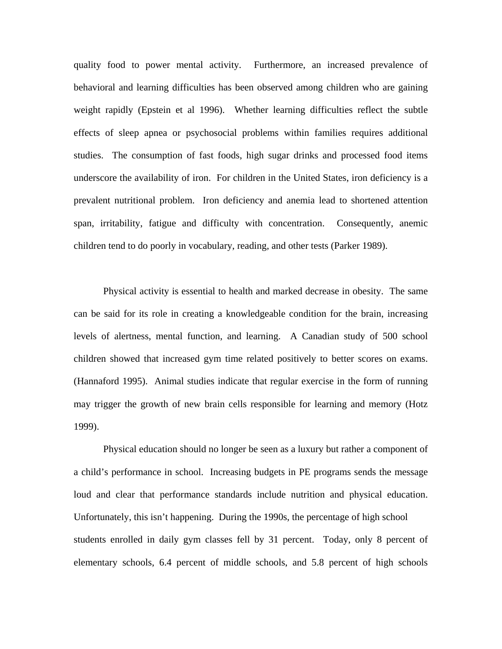quality food to power mental activity. Furthermore, an increased prevalence of behavioral and learning difficulties has been observed among children who are gaining weight rapidly (Epstein et al 1996). Whether learning difficulties reflect the subtle effects of sleep apnea or psychosocial problems within families requires additional studies. The consumption of fast foods, high sugar drinks and processed food items underscore the availability of iron. For children in the United States, iron deficiency is a prevalent nutritional problem. Iron deficiency and anemia lead to shortened attention span, irritability, fatigue and difficulty with concentration. Consequently, anemic children tend to do poorly in vocabulary, reading, and other tests (Parker 1989).

 Physical activity is essential to health and marked decrease in obesity. The same can be said for its role in creating a knowledgeable condition for the brain, increasing levels of alertness, mental function, and learning. A Canadian study of 500 school children showed that increased gym time related positively to better scores on exams. (Hannaford 1995). Animal studies indicate that regular exercise in the form of running may trigger the growth of new brain cells responsible for learning and memory (Hotz 1999).

 Physical education should no longer be seen as a luxury but rather a component of a child's performance in school. Increasing budgets in PE programs sends the message loud and clear that performance standards include nutrition and physical education. Unfortunately, this isn't happening. During the 1990s, the percentage of high school students enrolled in daily gym classes fell by 31 percent. Today, only 8 percent of elementary schools, 6.4 percent of middle schools, and 5.8 percent of high schools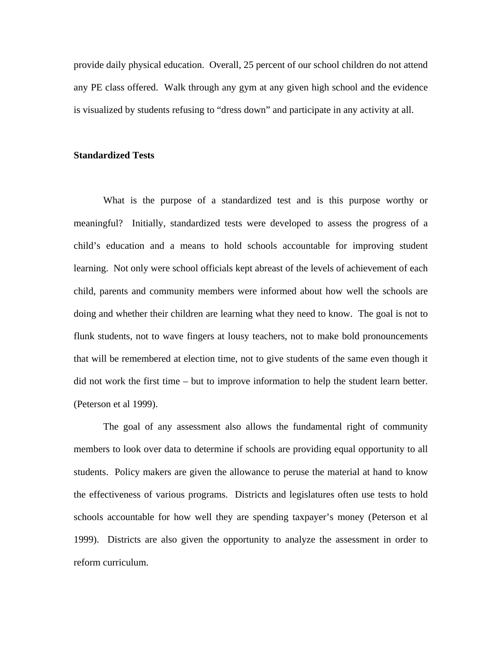provide daily physical education. Overall, 25 percent of our school children do not attend any PE class offered. Walk through any gym at any given high school and the evidence is visualized by students refusing to "dress down" and participate in any activity at all.

### **Standardized Tests**

 What is the purpose of a standardized test and is this purpose worthy or meaningful? Initially, standardized tests were developed to assess the progress of a child's education and a means to hold schools accountable for improving student learning. Not only were school officials kept abreast of the levels of achievement of each child, parents and community members were informed about how well the schools are doing and whether their children are learning what they need to know. The goal is not to flunk students, not to wave fingers at lousy teachers, not to make bold pronouncements that will be remembered at election time, not to give students of the same even though it did not work the first time – but to improve information to help the student learn better. (Peterson et al 1999).

 The goal of any assessment also allows the fundamental right of community members to look over data to determine if schools are providing equal opportunity to all students. Policy makers are given the allowance to peruse the material at hand to know the effectiveness of various programs. Districts and legislatures often use tests to hold schools accountable for how well they are spending taxpayer's money (Peterson et al 1999). Districts are also given the opportunity to analyze the assessment in order to reform curriculum.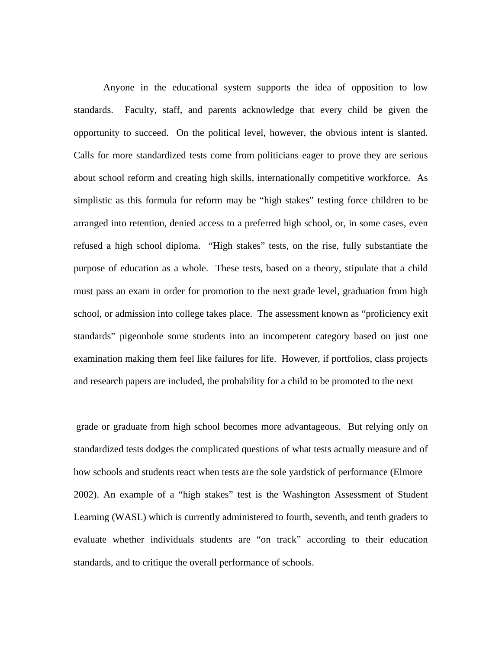Anyone in the educational system supports the idea of opposition to low standards. Faculty, staff, and parents acknowledge that every child be given the opportunity to succeed. On the political level, however, the obvious intent is slanted. Calls for more standardized tests come from politicians eager to prove they are serious about school reform and creating high skills, internationally competitive workforce. As simplistic as this formula for reform may be "high stakes" testing force children to be arranged into retention, denied access to a preferred high school, or, in some cases, even refused a high school diploma. "High stakes" tests, on the rise, fully substantiate the purpose of education as a whole. These tests, based on a theory, stipulate that a child must pass an exam in order for promotion to the next grade level, graduation from high school, or admission into college takes place. The assessment known as "proficiency exit standards" pigeonhole some students into an incompetent category based on just one examination making them feel like failures for life. However, if portfolios, class projects and research papers are included, the probability for a child to be promoted to the next

 grade or graduate from high school becomes more advantageous. But relying only on standardized tests dodges the complicated questions of what tests actually measure and of how schools and students react when tests are the sole yardstick of performance (Elmore 2002). An example of a "high stakes" test is the Washington Assessment of Student Learning (WASL) which is currently administered to fourth, seventh, and tenth graders to evaluate whether individuals students are "on track" according to their education standards, and to critique the overall performance of schools.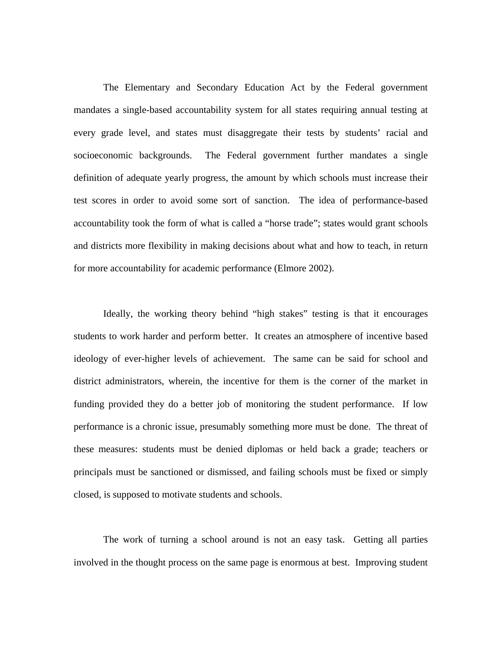The Elementary and Secondary Education Act by the Federal government mandates a single-based accountability system for all states requiring annual testing at every grade level, and states must disaggregate their tests by students' racial and socioeconomic backgrounds. The Federal government further mandates a single definition of adequate yearly progress, the amount by which schools must increase their test scores in order to avoid some sort of sanction. The idea of performance-based accountability took the form of what is called a "horse trade"; states would grant schools and districts more flexibility in making decisions about what and how to teach, in return for more accountability for academic performance (Elmore 2002).

 Ideally, the working theory behind "high stakes" testing is that it encourages students to work harder and perform better. It creates an atmosphere of incentive based ideology of ever-higher levels of achievement. The same can be said for school and district administrators, wherein, the incentive for them is the corner of the market in funding provided they do a better job of monitoring the student performance. If low performance is a chronic issue, presumably something more must be done. The threat of these measures: students must be denied diplomas or held back a grade; teachers or principals must be sanctioned or dismissed, and failing schools must be fixed or simply closed, is supposed to motivate students and schools.

 The work of turning a school around is not an easy task. Getting all parties involved in the thought process on the same page is enormous at best. Improving student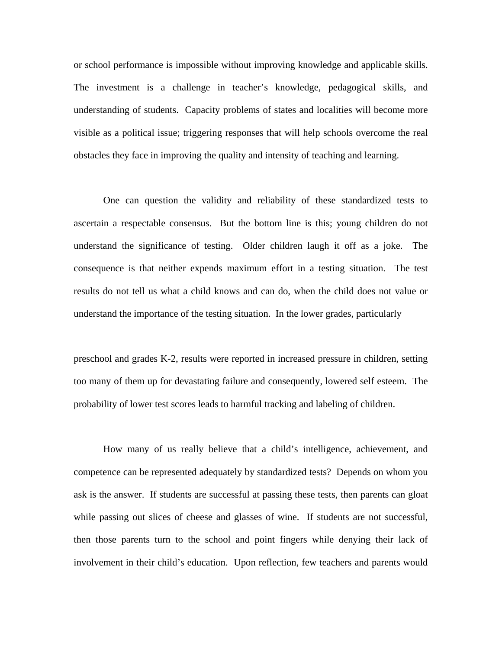or school performance is impossible without improving knowledge and applicable skills. The investment is a challenge in teacher's knowledge, pedagogical skills, and understanding of students. Capacity problems of states and localities will become more visible as a political issue; triggering responses that will help schools overcome the real obstacles they face in improving the quality and intensity of teaching and learning.

One can question the validity and reliability of these standardized tests to ascertain a respectable consensus. But the bottom line is this; young children do not understand the significance of testing. Older children laugh it off as a joke. The consequence is that neither expends maximum effort in a testing situation. The test results do not tell us what a child knows and can do, when the child does not value or understand the importance of the testing situation. In the lower grades, particularly

preschool and grades K-2, results were reported in increased pressure in children, setting too many of them up for devastating failure and consequently, lowered self esteem. The probability of lower test scores leads to harmful tracking and labeling of children.

 How many of us really believe that a child's intelligence, achievement, and competence can be represented adequately by standardized tests? Depends on whom you ask is the answer. If students are successful at passing these tests, then parents can gloat while passing out slices of cheese and glasses of wine. If students are not successful, then those parents turn to the school and point fingers while denying their lack of involvement in their child's education. Upon reflection, few teachers and parents would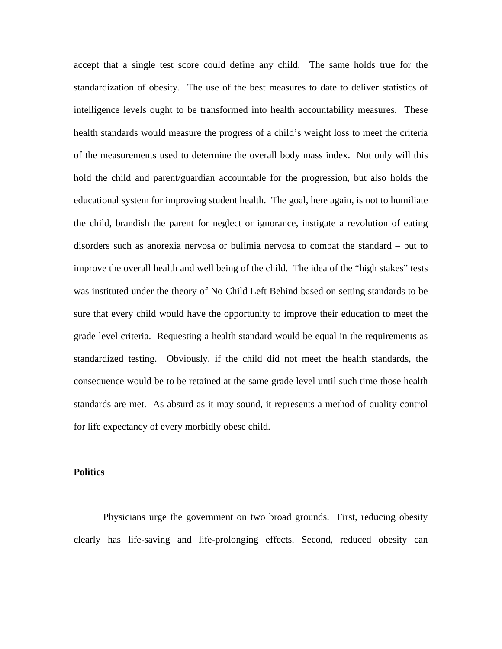accept that a single test score could define any child. The same holds true for the standardization of obesity. The use of the best measures to date to deliver statistics of intelligence levels ought to be transformed into health accountability measures. These health standards would measure the progress of a child's weight loss to meet the criteria of the measurements used to determine the overall body mass index. Not only will this hold the child and parent/guardian accountable for the progression, but also holds the educational system for improving student health. The goal, here again, is not to humiliate the child, brandish the parent for neglect or ignorance, instigate a revolution of eating disorders such as anorexia nervosa or bulimia nervosa to combat the standard – but to improve the overall health and well being of the child. The idea of the "high stakes" tests was instituted under the theory of No Child Left Behind based on setting standards to be sure that every child would have the opportunity to improve their education to meet the grade level criteria. Requesting a health standard would be equal in the requirements as standardized testing. Obviously, if the child did not meet the health standards, the consequence would be to be retained at the same grade level until such time those health standards are met. As absurd as it may sound, it represents a method of quality control for life expectancy of every morbidly obese child.

#### **Politics**

 Physicians urge the government on two broad grounds. First, reducing obesity clearly has life-saving and life-prolonging effects. Second, reduced obesity can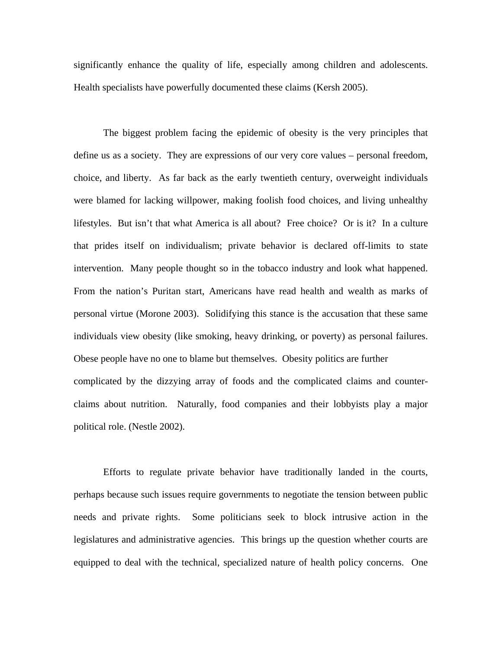significantly enhance the quality of life, especially among children and adolescents. Health specialists have powerfully documented these claims (Kersh 2005).

 The biggest problem facing the epidemic of obesity is the very principles that define us as a society. They are expressions of our very core values – personal freedom, choice, and liberty. As far back as the early twentieth century, overweight individuals were blamed for lacking willpower, making foolish food choices, and living unhealthy lifestyles. But isn't that what America is all about? Free choice? Or is it? In a culture that prides itself on individualism; private behavior is declared off-limits to state intervention. Many people thought so in the tobacco industry and look what happened. From the nation's Puritan start, Americans have read health and wealth as marks of personal virtue (Morone 2003). Solidifying this stance is the accusation that these same individuals view obesity (like smoking, heavy drinking, or poverty) as personal failures. Obese people have no one to blame but themselves. Obesity politics are further complicated by the dizzying array of foods and the complicated claims and counterclaims about nutrition. Naturally, food companies and their lobbyists play a major political role. (Nestle 2002).

 Efforts to regulate private behavior have traditionally landed in the courts, perhaps because such issues require governments to negotiate the tension between public needs and private rights. Some politicians seek to block intrusive action in the legislatures and administrative agencies. This brings up the question whether courts are equipped to deal with the technical, specialized nature of health policy concerns. One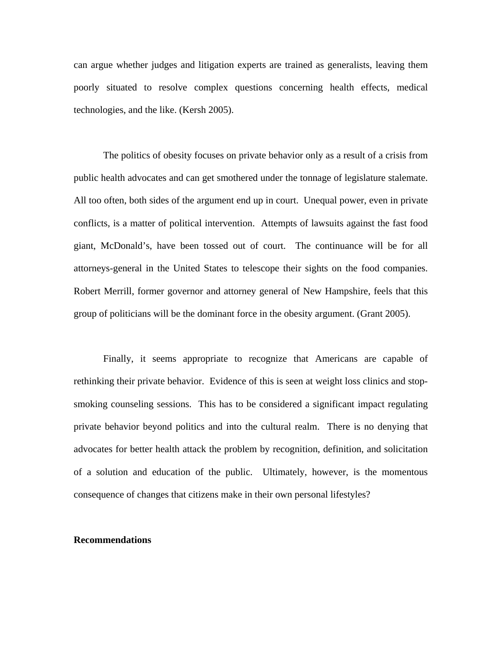can argue whether judges and litigation experts are trained as generalists, leaving them poorly situated to resolve complex questions concerning health effects, medical technologies, and the like. (Kersh 2005).

 The politics of obesity focuses on private behavior only as a result of a crisis from public health advocates and can get smothered under the tonnage of legislature stalemate. All too often, both sides of the argument end up in court. Unequal power, even in private conflicts, is a matter of political intervention. Attempts of lawsuits against the fast food giant, McDonald's, have been tossed out of court. The continuance will be for all attorneys-general in the United States to telescope their sights on the food companies. Robert Merrill, former governor and attorney general of New Hampshire, feels that this group of politicians will be the dominant force in the obesity argument. (Grant 2005).

 Finally, it seems appropriate to recognize that Americans are capable of rethinking their private behavior. Evidence of this is seen at weight loss clinics and stopsmoking counseling sessions. This has to be considered a significant impact regulating private behavior beyond politics and into the cultural realm. There is no denying that advocates for better health attack the problem by recognition, definition, and solicitation of a solution and education of the public. Ultimately, however, is the momentous consequence of changes that citizens make in their own personal lifestyles?

#### **Recommendations**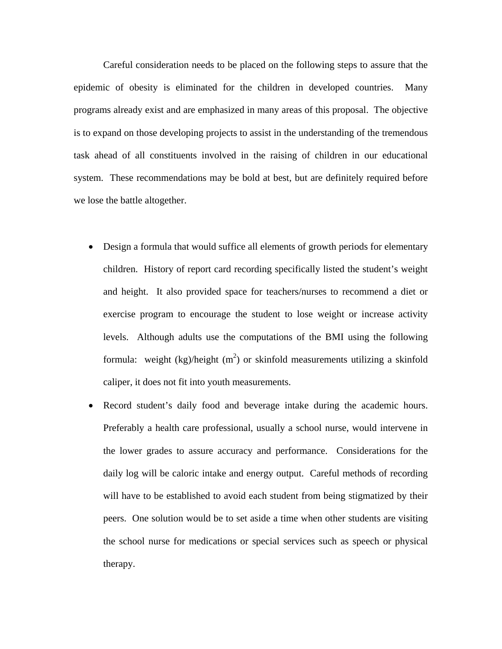Careful consideration needs to be placed on the following steps to assure that the epidemic of obesity is eliminated for the children in developed countries. Many programs already exist and are emphasized in many areas of this proposal. The objective is to expand on those developing projects to assist in the understanding of the tremendous task ahead of all constituents involved in the raising of children in our educational system. These recommendations may be bold at best, but are definitely required before we lose the battle altogether.

- Design a formula that would suffice all elements of growth periods for elementary children. History of report card recording specifically listed the student's weight and height. It also provided space for teachers/nurses to recommend a diet or exercise program to encourage the student to lose weight or increase activity levels. Although adults use the computations of the BMI using the following formula: weight  $(kg)/height(m^2)$  or skinfold measurements utilizing a skinfold caliper, it does not fit into youth measurements.
- Record student's daily food and beverage intake during the academic hours. Preferably a health care professional, usually a school nurse, would intervene in the lower grades to assure accuracy and performance. Considerations for the daily log will be caloric intake and energy output. Careful methods of recording will have to be established to avoid each student from being stigmatized by their peers. One solution would be to set aside a time when other students are visiting the school nurse for medications or special services such as speech or physical therapy.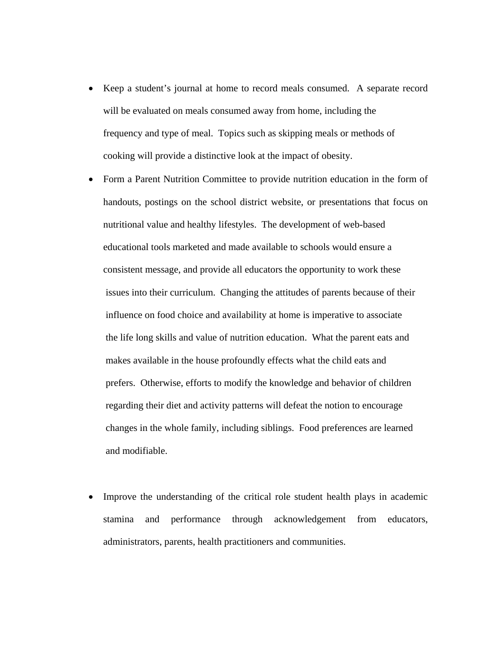- Keep a student's journal at home to record meals consumed. A separate record will be evaluated on meals consumed away from home, including the frequency and type of meal. Topics such as skipping meals or methods of cooking will provide a distinctive look at the impact of obesity.
- Form a Parent Nutrition Committee to provide nutrition education in the form of handouts, postings on the school district website, or presentations that focus on nutritional value and healthy lifestyles. The development of web-based educational tools marketed and made available to schools would ensure a consistent message, and provide all educators the opportunity to work these issues into their curriculum. Changing the attitudes of parents because of their influence on food choice and availability at home is imperative to associate the life long skills and value of nutrition education. What the parent eats and makes available in the house profoundly effects what the child eats and prefers. Otherwise, efforts to modify the knowledge and behavior of children regarding their diet and activity patterns will defeat the notion to encourage changes in the whole family, including siblings. Food preferences are learned and modifiable.
- Improve the understanding of the critical role student health plays in academic stamina and performance through acknowledgement from educators, administrators, parents, health practitioners and communities.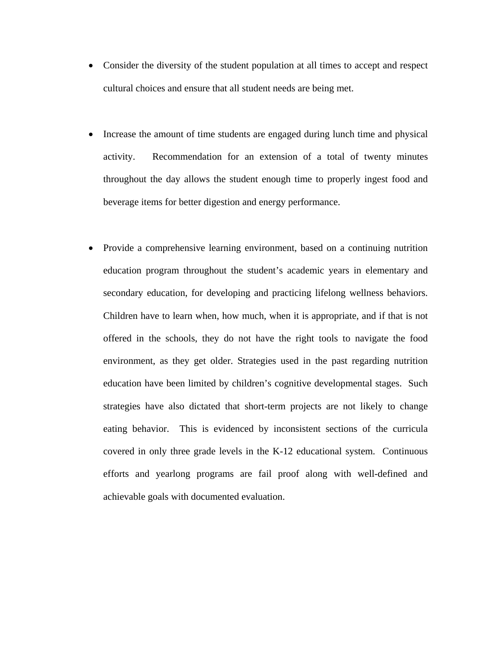- Consider the diversity of the student population at all times to accept and respect cultural choices and ensure that all student needs are being met.
- Increase the amount of time students are engaged during lunch time and physical activity. Recommendation for an extension of a total of twenty minutes throughout the day allows the student enough time to properly ingest food and beverage items for better digestion and energy performance.
- Provide a comprehensive learning environment, based on a continuing nutrition education program throughout the student's academic years in elementary and secondary education, for developing and practicing lifelong wellness behaviors. Children have to learn when, how much, when it is appropriate, and if that is not offered in the schools, they do not have the right tools to navigate the food environment, as they get older. Strategies used in the past regarding nutrition education have been limited by children's cognitive developmental stages. Such strategies have also dictated that short-term projects are not likely to change eating behavior. This is evidenced by inconsistent sections of the curricula covered in only three grade levels in the K-12 educational system. Continuous efforts and yearlong programs are fail proof along with well-defined and achievable goals with documented evaluation.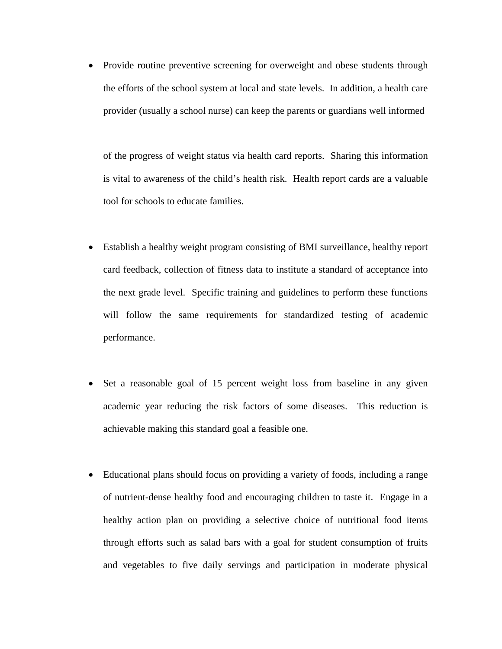• Provide routine preventive screening for overweight and obese students through the efforts of the school system at local and state levels. In addition, a health care provider (usually a school nurse) can keep the parents or guardians well informed

 of the progress of weight status via health card reports. Sharing this information is vital to awareness of the child's health risk. Health report cards are a valuable tool for schools to educate families.

- Establish a healthy weight program consisting of BMI surveillance, healthy report card feedback, collection of fitness data to institute a standard of acceptance into the next grade level. Specific training and guidelines to perform these functions will follow the same requirements for standardized testing of academic performance.
- Set a reasonable goal of 15 percent weight loss from baseline in any given academic year reducing the risk factors of some diseases. This reduction is achievable making this standard goal a feasible one.
- Educational plans should focus on providing a variety of foods, including a range of nutrient-dense healthy food and encouraging children to taste it. Engage in a healthy action plan on providing a selective choice of nutritional food items through efforts such as salad bars with a goal for student consumption of fruits and vegetables to five daily servings and participation in moderate physical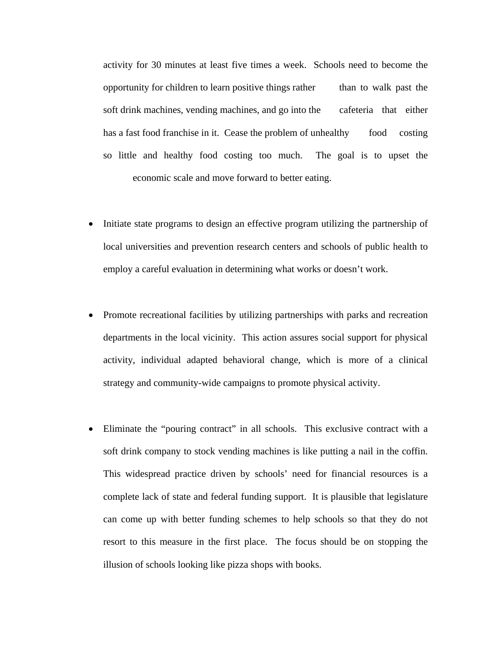activity for 30 minutes at least five times a week. Schools need to become the opportunity for children to learn positive things rather than to walk past the soft drink machines, vending machines, and go into the cafeteria that either has a fast food franchise in it. Cease the problem of unhealthy food costing so little and healthy food costing too much. The goal is to upset the economic scale and move forward to better eating.

- Initiate state programs to design an effective program utilizing the partnership of local universities and prevention research centers and schools of public health to employ a careful evaluation in determining what works or doesn't work.
- Promote recreational facilities by utilizing partnerships with parks and recreation departments in the local vicinity. This action assures social support for physical activity, individual adapted behavioral change, which is more of a clinical strategy and community-wide campaigns to promote physical activity.
- Eliminate the "pouring contract" in all schools. This exclusive contract with a soft drink company to stock vending machines is like putting a nail in the coffin. This widespread practice driven by schools' need for financial resources is a complete lack of state and federal funding support. It is plausible that legislature can come up with better funding schemes to help schools so that they do not resort to this measure in the first place. The focus should be on stopping the illusion of schools looking like pizza shops with books.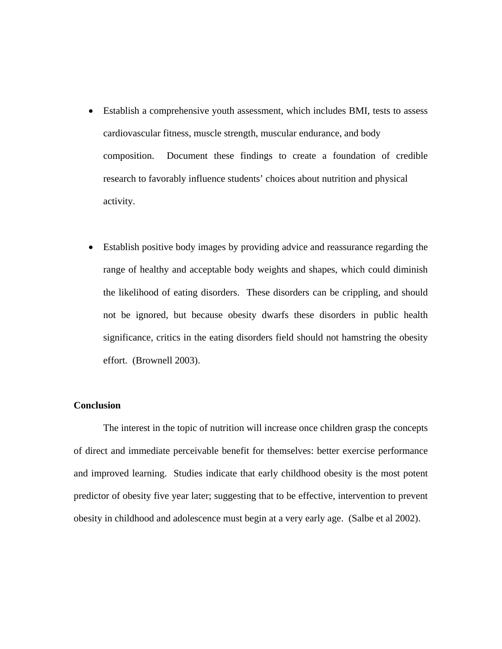- Establish a comprehensive youth assessment, which includes BMI, tests to assess cardiovascular fitness, muscle strength, muscular endurance, and body composition. Document these findings to create a foundation of credible research to favorably influence students' choices about nutrition and physical activity.
- Establish positive body images by providing advice and reassurance regarding the range of healthy and acceptable body weights and shapes, which could diminish the likelihood of eating disorders. These disorders can be crippling, and should not be ignored, but because obesity dwarfs these disorders in public health significance, critics in the eating disorders field should not hamstring the obesity effort. (Brownell 2003).

# **Conclusion**

 The interest in the topic of nutrition will increase once children grasp the concepts of direct and immediate perceivable benefit for themselves: better exercise performance and improved learning. Studies indicate that early childhood obesity is the most potent predictor of obesity five year later; suggesting that to be effective, intervention to prevent obesity in childhood and adolescence must begin at a very early age. (Salbe et al 2002).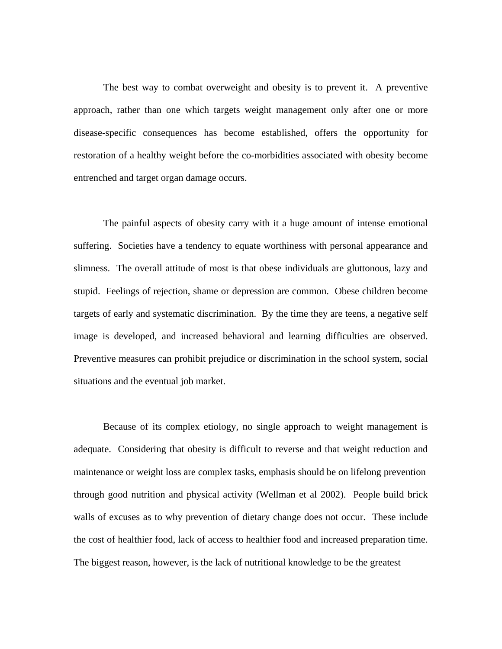The best way to combat overweight and obesity is to prevent it. A preventive approach, rather than one which targets weight management only after one or more disease-specific consequences has become established, offers the opportunity for restoration of a healthy weight before the co-morbidities associated with obesity become entrenched and target organ damage occurs.

 The painful aspects of obesity carry with it a huge amount of intense emotional suffering. Societies have a tendency to equate worthiness with personal appearance and slimness. The overall attitude of most is that obese individuals are gluttonous, lazy and stupid. Feelings of rejection, shame or depression are common. Obese children become targets of early and systematic discrimination. By the time they are teens, a negative self image is developed, and increased behavioral and learning difficulties are observed. Preventive measures can prohibit prejudice or discrimination in the school system, social situations and the eventual job market.

 Because of its complex etiology, no single approach to weight management is adequate. Considering that obesity is difficult to reverse and that weight reduction and maintenance or weight loss are complex tasks, emphasis should be on lifelong prevention through good nutrition and physical activity (Wellman et al 2002). People build brick walls of excuses as to why prevention of dietary change does not occur. These include the cost of healthier food, lack of access to healthier food and increased preparation time. The biggest reason, however, is the lack of nutritional knowledge to be the greatest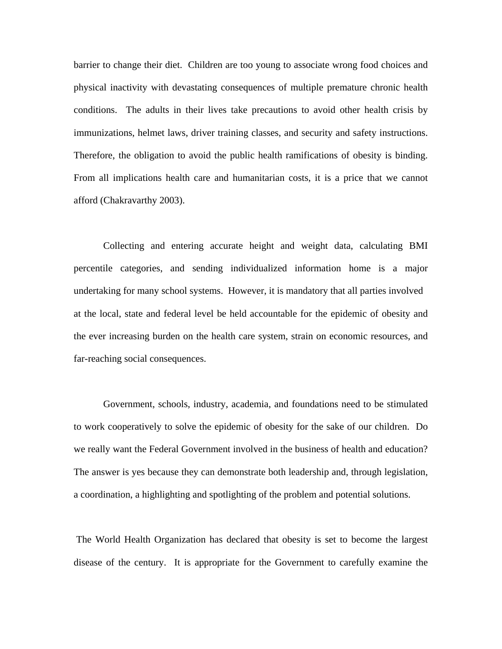barrier to change their diet. Children are too young to associate wrong food choices and physical inactivity with devastating consequences of multiple premature chronic health conditions. The adults in their lives take precautions to avoid other health crisis by immunizations, helmet laws, driver training classes, and security and safety instructions. Therefore, the obligation to avoid the public health ramifications of obesity is binding. From all implications health care and humanitarian costs, it is a price that we cannot afford (Chakravarthy 2003).

 Collecting and entering accurate height and weight data, calculating BMI percentile categories, and sending individualized information home is a major undertaking for many school systems. However, it is mandatory that all parties involved at the local, state and federal level be held accountable for the epidemic of obesity and the ever increasing burden on the health care system, strain on economic resources, and far-reaching social consequences.

 Government, schools, industry, academia, and foundations need to be stimulated to work cooperatively to solve the epidemic of obesity for the sake of our children. Do we really want the Federal Government involved in the business of health and education? The answer is yes because they can demonstrate both leadership and, through legislation, a coordination, a highlighting and spotlighting of the problem and potential solutions.

 The World Health Organization has declared that obesity is set to become the largest disease of the century. It is appropriate for the Government to carefully examine the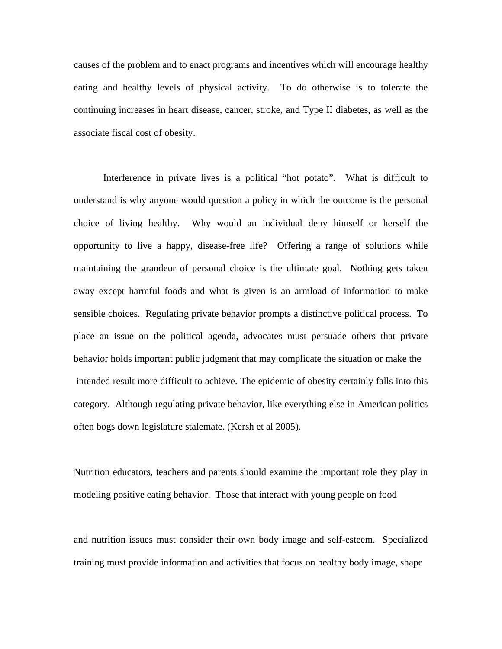causes of the problem and to enact programs and incentives which will encourage healthy eating and healthy levels of physical activity. To do otherwise is to tolerate the continuing increases in heart disease, cancer, stroke, and Type II diabetes, as well as the associate fiscal cost of obesity.

 Interference in private lives is a political "hot potato". What is difficult to understand is why anyone would question a policy in which the outcome is the personal choice of living healthy. Why would an individual deny himself or herself the opportunity to live a happy, disease-free life? Offering a range of solutions while maintaining the grandeur of personal choice is the ultimate goal. Nothing gets taken away except harmful foods and what is given is an armload of information to make sensible choices. Regulating private behavior prompts a distinctive political process. To place an issue on the political agenda, advocates must persuade others that private behavior holds important public judgment that may complicate the situation or make the intended result more difficult to achieve. The epidemic of obesity certainly falls into this category. Although regulating private behavior, like everything else in American politics often bogs down legislature stalemate. (Kersh et al 2005).

Nutrition educators, teachers and parents should examine the important role they play in modeling positive eating behavior. Those that interact with young people on food

and nutrition issues must consider their own body image and self-esteem. Specialized training must provide information and activities that focus on healthy body image, shape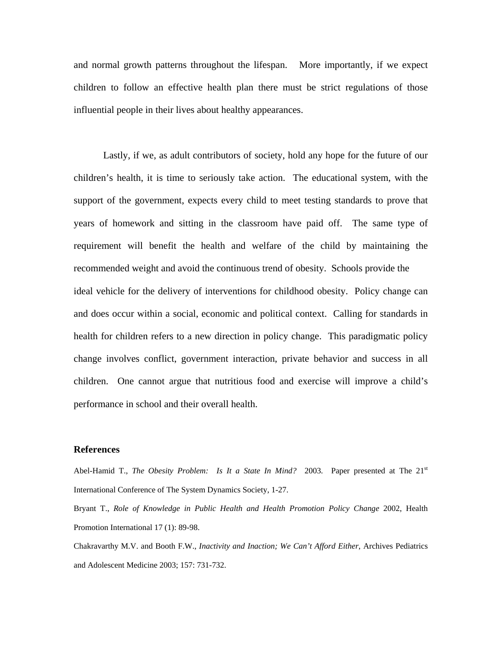and normal growth patterns throughout the lifespan. More importantly, if we expect children to follow an effective health plan there must be strict regulations of those influential people in their lives about healthy appearances.

 Lastly, if we, as adult contributors of society, hold any hope for the future of our children's health, it is time to seriously take action. The educational system, with the support of the government, expects every child to meet testing standards to prove that years of homework and sitting in the classroom have paid off. The same type of requirement will benefit the health and welfare of the child by maintaining the recommended weight and avoid the continuous trend of obesity. Schools provide the ideal vehicle for the delivery of interventions for childhood obesity. Policy change can and does occur within a social, economic and political context. Calling for standards in health for children refers to a new direction in policy change. This paradigmatic policy change involves conflict, government interaction, private behavior and success in all children. One cannot argue that nutritious food and exercise will improve a child's performance in school and their overall health.

#### **References**

Abel-Hamid T., *The Obesity Problem: Is It a State In Mind?* 2003. Paper presented at The 21<sup>st</sup> International Conference of The System Dynamics Society, 1-27.

Bryant T., *Role of Knowledge in Public Health and Health Promotion Policy Change* 2002, Health Promotion International 17 (1): 89-98.

Chakravarthy M.V. and Booth F.W., *Inactivity and Inaction; We Can't Afford Either*, Archives Pediatrics and Adolescent Medicine 2003; 157: 731-732.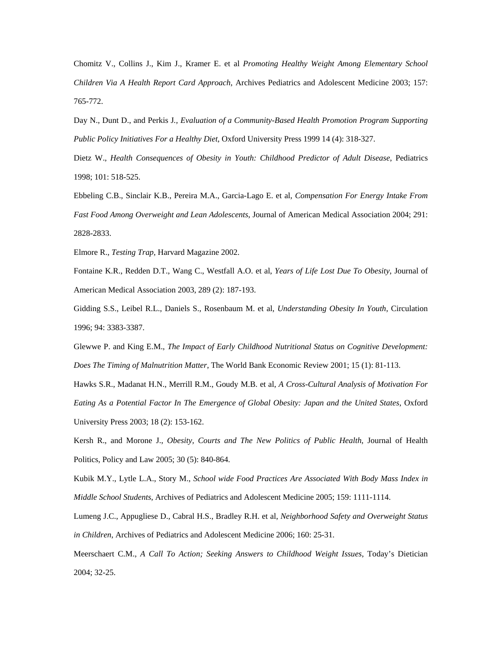Chomitz V., Collins J., Kim J., Kramer E. et al *Promoting Healthy Weight Among Elementary School Children Via A Health Report Card Approach*, Archives Pediatrics and Adolescent Medicine 2003; 157: 765-772.

Day N., Dunt D., and Perkis J*., Evaluation of a Community-Based Health Promotion Program Supporting Public Policy Initiatives For a Healthy Diet*, Oxford University Press 1999 14 (4): 318-327.

Dietz W., *Health Consequences of Obesity in Youth: Childhood Predictor of Adult Disease*, Pediatrics 1998; 101: 518-525.

Ebbeling C.B., Sinclair K.B., Pereira M.A., Garcia-Lago E. et al, *Compensation For Energy Intake From Fast Food Among Overweight and Lean Adolescents*, Journal of American Medical Association 2004; 291: 2828-2833.

Elmore R., *Testing Trap*, Harvard Magazine 2002.

Fontaine K.R., Redden D.T., Wang C., Westfall A.O. et al, *Years of Life Lost Due To Obesity*, Journal of American Medical Association 2003, 289 (2): 187-193.

Gidding S.S., Leibel R.L., Daniels S., Rosenbaum M. et al, *Understanding Obesity In Youth*, Circulation 1996; 94: 3383-3387.

Glewwe P. and King E.M., *The Impact of Early Childhood Nutritional Status on Cognitive Development: Does The Timing of Malnutrition Matter*, The World Bank Economic Review 2001; 15 (1): 81-113.

Hawks S.R., Madanat H.N., Merrill R.M., Goudy M.B. et al, *A Cross-Cultural Analysis of Motivation For Eating As a Potential Factor In The Emergence of Global Obesity: Japan and the United States*, Oxford University Press 2003; 18 (2): 153-162.

Kersh R., and Morone J., *Obesity, Courts and The New Politics of Public Health*, Journal of Health Politics, Policy and Law 2005; 30 (5): 840-864.

Kubik M.Y., Lytle L.A., Story M., *School wide Food Practices Are Associated With Body Mass Index in Middle School Students*, Archives of Pediatrics and Adolescent Medicine 2005; 159: 1111-1114.

Lumeng J.C., Appugliese D., Cabral H.S., Bradley R.H. et al, *Neighborhood Safety and Overweight Status in Children*, Archives of Pediatrics and Adolescent Medicine 2006; 160: 25-31.

Meerschaert C.M., *A Call To Action; Seeking Answers to Childhood Weight Issues*, Today's Dietician 2004; 32-25.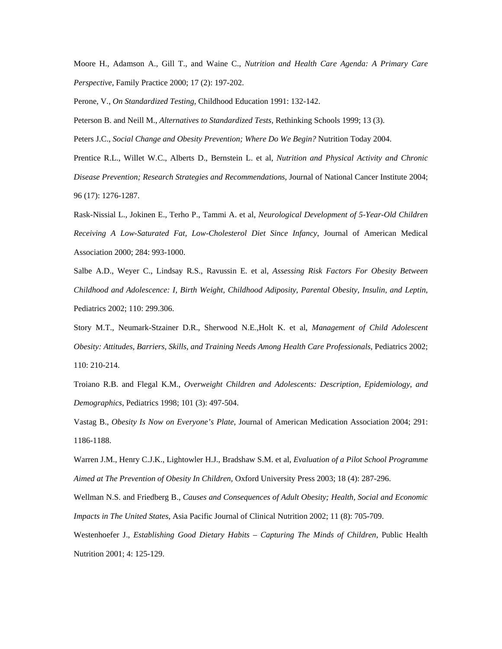Moore H., Adamson A., Gill T., and Waine C., *Nutrition and Health Care Agenda: A Primary Care Perspective*, Family Practice 2000; 17 (2): 197-202.

Perone, V., *On Standardized Testing*, Childhood Education 1991: 132-142.

Peterson B. and Neill M., *Alternatives to Standardized Tests*, Rethinking Schools 1999; 13 (3).

Peters J.C., *Social Change and Obesity Prevention; Where Do We Begin?* Nutrition Today 2004.

Prentice R.L., Willet W.C., Alberts D., Bernstein L. et al, *Nutrition and Physical Activity and Chronic Disease Prevention; Research Strategies and Recommendations*, Journal of National Cancer Institute 2004; 96 (17): 1276-1287.

Rask-Nissial L., Jokinen E., Terho P., Tammi A. et al, *Neurological Development of 5-Year-Old Children Receiving A Low-Saturated Fat, Low-Cholesterol Diet Since Infancy*, Journal of American Medical Association 2000; 284: 993-1000.

Salbe A.D., Weyer C., Lindsay R.S., Ravussin E. et al, *Assessing Risk Factors For Obesity Between Childhood and Adolescence: I, Birth Weight, Childhood Adiposity, Parental Obesity, Insulin, and Leptin*, Pediatrics 2002; 110: 299.306.

Story M.T., Neumark-Stzainer D.R., Sherwood N.E.,Holt K. et al, *Management of Child Adolescent Obesity: Attitudes, Barriers, Skills, and Training Needs Among Health Care Professionals*, Pediatrics 2002; 110: 210-214.

Troiano R.B. and Flegal K.M., *Overweight Children and Adolescents: Description, Epidemiology, and Demographics*, Pediatrics 1998; 101 (3): 497-504.

Vastag B., *Obesity Is Now on Everyone's Plate*, Journal of American Medication Association 2004; 291: 1186-1188.

Warren J.M., Henry C.J.K., Lightowler H.J., Bradshaw S.M. et al, *Evaluation of a Pilot School Programme Aimed at The Prevention of Obesity In Children,* Oxford University Press 2003; 18 (4): 287-296.

Wellman N.S. and Friedberg B., *Causes and Consequences of Adult Obesity; Health, Social and Economic Impacts in The United States*, Asia Pacific Journal of Clinical Nutrition 2002; 11 (8): 705-709.

Westenhoefer J., *Establishing Good Dietary Habits – Capturing The Minds of Children*, Public Health Nutrition 2001; 4: 125-129.